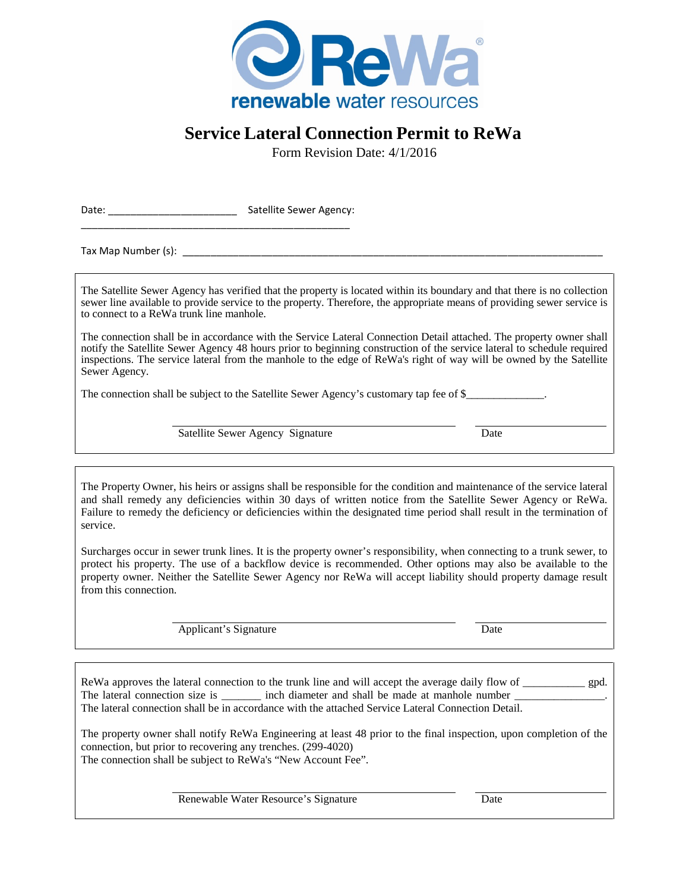

## **Service Lateral Connection Permit to ReWa**

Form Revision Date: 4/1/2016

Date: Contract Contract Contract Contract Contract Contract Contract Contract Contract Contract Contract Contract Contract Contract Contract Contract Contract Contract Contract Contract Contract Contract Contract Contract \_\_\_\_\_\_\_\_\_\_\_\_\_\_\_\_\_\_\_\_\_\_\_\_\_\_\_\_\_\_\_\_\_\_\_\_\_\_\_\_\_\_\_\_\_\_\_\_

Tax Map Number (s):

The Satellite Sewer Agency has verified that the property is located within its boundary and that there is no collection sewer line available to provide service to the property. Therefore, the appropriate means of providing sewer service is to connect to a ReWa trunk line manhole.

The connection shall be in accordance with the Service Lateral Connection Detail attached. The property owner shall notify the Satellite Sewer Agency 48 hours prior to beginning construction of the service lateral to schedule required inspections. The service lateral from the manhole to the edge of ReWa's right of way will be owned by the Satellite Sewer Agency.

The connection shall be subject to the Satellite Sewer Agency's customary tap fee of \$\_\_\_\_\_\_\_\_\_\_\_\_\_.

Satellite Sewer Agency Signature Date

The Property Owner, his heirs or assigns shall be responsible for the condition and maintenance of the service lateral and shall remedy any deficiencies within 30 days of written notice from the Satellite Sewer Agency or ReWa. Failure to remedy the deficiency or deficiencies within the designated time period shall result in the termination of service.

Surcharges occur in sewer trunk lines. It is the property owner's responsibility, when connecting to a trunk sewer, to protect his property. The use of a backflow device is recommended. Other options may also be available to the property owner. Neither the Satellite Sewer Agency nor ReWa will accept liability should property damage result from this connection.

Applicant's Signature Date

ReWa approves the lateral connection to the trunk line and will accept the average daily flow of gpd. The lateral connection size is \_\_\_\_\_\_\_ inch diameter and shall be made at manhole number \_\_\_\_\_\_\_\_\_\_\_\_\_\_\_\_. The lateral connection shall be in accordance with the attached Service Lateral Connection Detail.

The property owner shall notify ReWa Engineering at least 48 prior to the final inspection, upon completion of the connection, but prior to recovering any trenches. (299-4020) The connection shall be subject to ReWa's "New Account Fee".

Renewable Water Resource's Signature Date